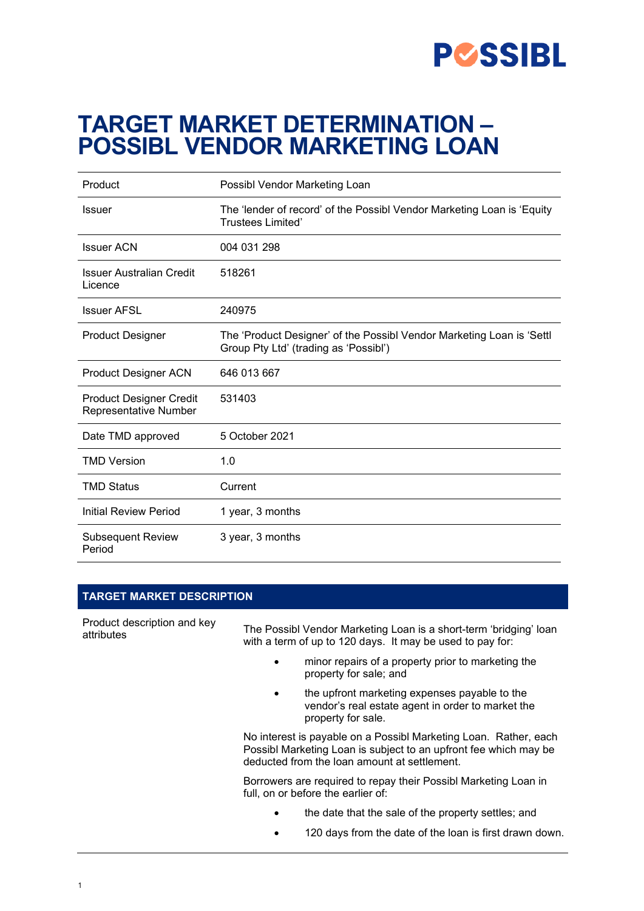

# **TARGET MARKET DETERMINATION – POSSIBL VENDOR MARKETING LOAN**

| Product                                                 | Possibl Vendor Marketing Loan                                                                                  |  |  |
|---------------------------------------------------------|----------------------------------------------------------------------------------------------------------------|--|--|
| <b>Issuer</b>                                           | The 'lender of record' of the Possibl Vendor Marketing Loan is 'Equity<br><b>Trustees Limited'</b>             |  |  |
| <b>Issuer ACN</b>                                       | 004 031 298                                                                                                    |  |  |
| <b>Issuer Australian Credit</b><br>Licence              | 518261                                                                                                         |  |  |
| <b>Issuer AFSL</b>                                      | 240975                                                                                                         |  |  |
| <b>Product Designer</b>                                 | The 'Product Designer' of the Possibl Vendor Marketing Loan is 'Settl<br>Group Pty Ltd' (trading as 'Possibl') |  |  |
| <b>Product Designer ACN</b>                             | 646 013 667                                                                                                    |  |  |
| <b>Product Designer Credit</b><br>Representative Number | 531403                                                                                                         |  |  |
| Date TMD approved                                       | 5 October 2021                                                                                                 |  |  |
| <b>TMD Version</b>                                      | 1.0                                                                                                            |  |  |
| <b>TMD Status</b>                                       | Current                                                                                                        |  |  |
| Initial Review Period                                   | 1 year, 3 months                                                                                               |  |  |
| <b>Subsequent Review</b><br>Period                      | 3 year, 3 months                                                                                               |  |  |

#### **TARGET MARKET DESCRIPTION**

| Product description and key<br>attributes | The Possibl Vendor Marketing Loan is a short-term 'bridging' loan<br>with a term of up to 120 days. It may be used to pay for: |                                                                                                                                                                                      |  |
|-------------------------------------------|--------------------------------------------------------------------------------------------------------------------------------|--------------------------------------------------------------------------------------------------------------------------------------------------------------------------------------|--|
|                                           | $\bullet$                                                                                                                      | minor repairs of a property prior to marketing the<br>property for sale; and                                                                                                         |  |
|                                           | $\bullet$                                                                                                                      | the upfront marketing expenses payable to the<br>vendor's real estate agent in order to market the<br>property for sale.                                                             |  |
|                                           |                                                                                                                                | No interest is payable on a Possibl Marketing Loan. Rather, each<br>Possibl Marketing Loan is subject to an upfront fee which may be<br>deducted from the loan amount at settlement. |  |
|                                           | Borrowers are required to repay their Possibl Marketing Loan in<br>full, on or before the earlier of:                          |                                                                                                                                                                                      |  |
|                                           | ٠                                                                                                                              | the date that the sale of the property settles; and                                                                                                                                  |  |
|                                           |                                                                                                                                | 120 days from the date of the loan is first drawn down                                                                                                                               |  |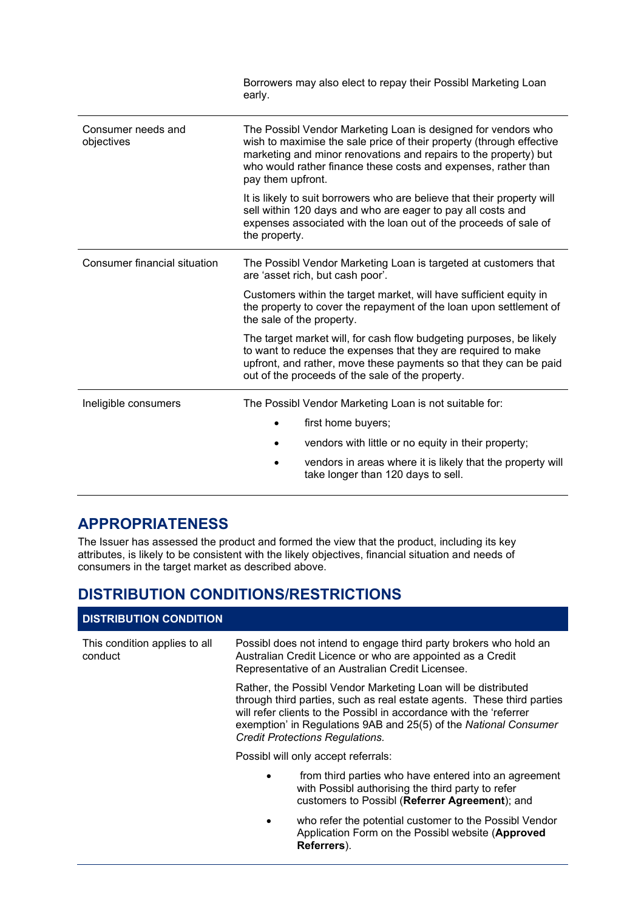|                                  | Borrowers may also elect to repay their Possibl Marketing Loan<br>early.                                                                                                                                                                                                                         |  |  |
|----------------------------------|--------------------------------------------------------------------------------------------------------------------------------------------------------------------------------------------------------------------------------------------------------------------------------------------------|--|--|
| Consumer needs and<br>objectives | The Possibl Vendor Marketing Loan is designed for vendors who<br>wish to maximise the sale price of their property (through effective<br>marketing and minor renovations and repairs to the property) but<br>who would rather finance these costs and expenses, rather than<br>pay them upfront. |  |  |
|                                  | It is likely to suit borrowers who are believe that their property will<br>sell within 120 days and who are eager to pay all costs and<br>expenses associated with the loan out of the proceeds of sale of<br>the property.                                                                      |  |  |
| Consumer financial situation     | The Possibl Vendor Marketing Loan is targeted at customers that<br>are 'asset rich, but cash poor'.                                                                                                                                                                                              |  |  |
|                                  | Customers within the target market, will have sufficient equity in<br>the property to cover the repayment of the loan upon settlement of<br>the sale of the property.                                                                                                                            |  |  |
|                                  | The target market will, for cash flow budgeting purposes, be likely<br>to want to reduce the expenses that they are required to make<br>upfront, and rather, move these payments so that they can be paid<br>out of the proceeds of the sale of the property.                                    |  |  |
| Ineligible consumers             | The Possibl Vendor Marketing Loan is not suitable for:                                                                                                                                                                                                                                           |  |  |
|                                  | first home buyers;                                                                                                                                                                                                                                                                               |  |  |
|                                  | vendors with little or no equity in their property;                                                                                                                                                                                                                                              |  |  |
|                                  | vendors in areas where it is likely that the property will<br>take longer than 120 days to sell.                                                                                                                                                                                                 |  |  |

## **APPROPRIATENESS**

The Issuer has assessed the product and formed the view that the product, including its key attributes, is likely to be consistent with the likely objectives, financial situation and needs of consumers in the target market as described above.

# **DISTRIBUTION CONDITIONS/RESTRICTIONS**

## **DISTRIBUTION CONDITION**

| This condition applies to all<br>conduct | Possibl does not intend to engage third party brokers who hold an<br>Australian Credit Licence or who are appointed as a Credit<br>Representative of an Australian Credit Licensee.                                                                                                                                         |  |  |
|------------------------------------------|-----------------------------------------------------------------------------------------------------------------------------------------------------------------------------------------------------------------------------------------------------------------------------------------------------------------------------|--|--|
|                                          | Rather, the Possibl Vendor Marketing Loan will be distributed<br>through third parties, such as real estate agents. These third parties<br>will refer clients to the Possibl in accordance with the 'referrer<br>exemption' in Regulations 9AB and 25(5) of the National Consumer<br><b>Credit Protections Regulations.</b> |  |  |
|                                          | Possibl will only accept referrals:                                                                                                                                                                                                                                                                                         |  |  |
|                                          | from third parties who have entered into an agreement<br>$\bullet$<br>with Possibl authorising the third party to refer<br>customers to Possibl (Referrer Agreement); and                                                                                                                                                   |  |  |
|                                          | who refer the potential customer to the Possibl Vendor<br>٠<br>Application Form on the Possibl website (Approved                                                                                                                                                                                                            |  |  |

**Referrers**).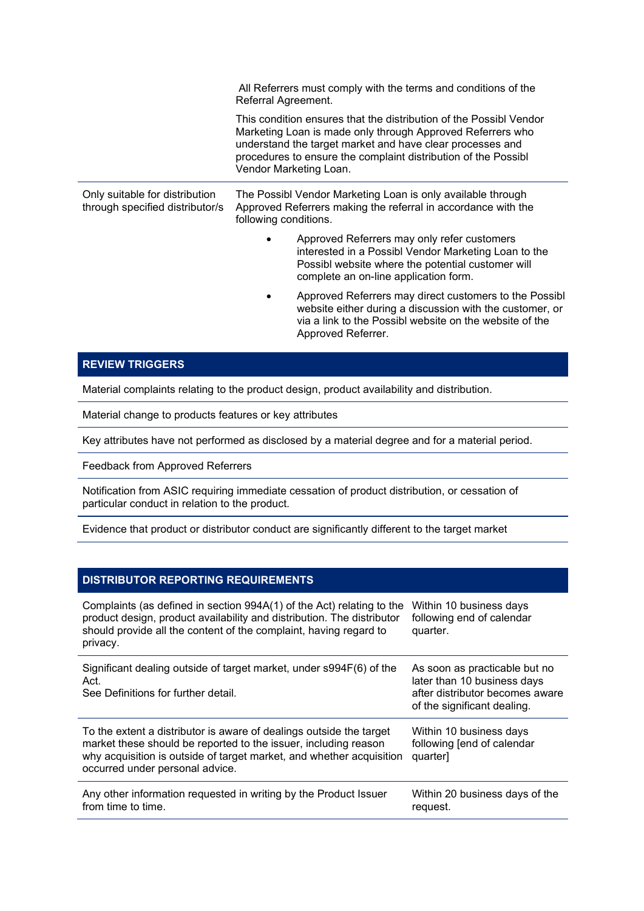|                                                                   | All Referrers must comply with the terms and conditions of the<br>Referral Agreement.                                                                                                                                                                                                     |                                                                                                                                                                                                     |  |  |
|-------------------------------------------------------------------|-------------------------------------------------------------------------------------------------------------------------------------------------------------------------------------------------------------------------------------------------------------------------------------------|-----------------------------------------------------------------------------------------------------------------------------------------------------------------------------------------------------|--|--|
|                                                                   | This condition ensures that the distribution of the Possibl Vendor<br>Marketing Loan is made only through Approved Referrers who<br>understand the target market and have clear processes and<br>procedures to ensure the complaint distribution of the Possibl<br>Vendor Marketing Loan. |                                                                                                                                                                                                     |  |  |
| Only suitable for distribution<br>through specified distributor/s | following conditions.                                                                                                                                                                                                                                                                     | The Possibl Vendor Marketing Loan is only available through<br>Approved Referrers making the referral in accordance with the                                                                        |  |  |
|                                                                   |                                                                                                                                                                                                                                                                                           | Approved Referrers may only refer customers<br>interested in a Possibl Vendor Marketing Loan to the<br>Possibl website where the potential customer will<br>complete an on-line application form.   |  |  |
|                                                                   |                                                                                                                                                                                                                                                                                           | Approved Referrers may direct customers to the Possibl<br>website either during a discussion with the customer, or<br>via a link to the Possibl website on the website of the<br>Approved Referrer. |  |  |

## **REVIEW TRIGGERS**

Material complaints relating to the product design, product availability and distribution.

Material change to products features or key attributes

Key attributes have not performed as disclosed by a material degree and for a material period.

Feedback from Approved Referrers

Notification from ASIC requiring immediate cessation of product distribution, or cessation of particular conduct in relation to the product.

Evidence that product or distributor conduct are significantly different to the target market

#### **DISTRIBUTOR REPORTING REQUIREMENTS**

| Complaints (as defined in section 994A(1) of the Act) relating to the<br>product design, product availability and distribution. The distributor<br>should provide all the content of the complaint, having regard to<br>privacy.                  | Within 10 business days<br>following end of calendar<br>quarter.                                                               |
|---------------------------------------------------------------------------------------------------------------------------------------------------------------------------------------------------------------------------------------------------|--------------------------------------------------------------------------------------------------------------------------------|
| Significant dealing outside of target market, under s994F(6) of the<br>Act.<br>See Definitions for further detail.                                                                                                                                | As soon as practicable but no<br>later than 10 business days<br>after distributor becomes aware<br>of the significant dealing. |
| To the extent a distributor is aware of dealings outside the target<br>market these should be reported to the issuer, including reason<br>why acquisition is outside of target market, and whether acquisition<br>occurred under personal advice. | Within 10 business days<br>following [end of calendar<br>quarter]                                                              |
| Any other information requested in writing by the Product Issuer<br>from time to time.                                                                                                                                                            | Within 20 business days of the<br>request.                                                                                     |